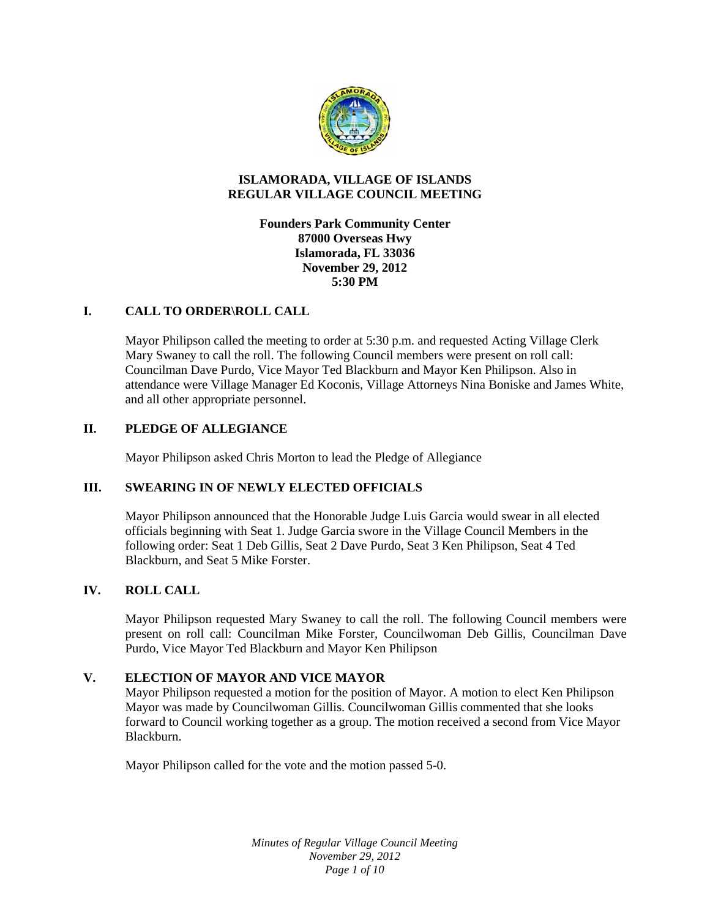

### **ISLAMORADA, VILLAGE OF ISLANDS REGULAR VILLAGE COUNCIL MEETING**

## **Founders Park Community Center 87000 Overseas Hwy Islamorada, FL 33036 November 29, 2012 5:30 PM**

## **I. CALL TO ORDER\ROLL CALL**

Mayor Philipson called the meeting to order at 5:30 p.m. and requested Acting Village Clerk Mary Swaney to call the roll. The following Council members were present on roll call: Councilman Dave Purdo, Vice Mayor Ted Blackburn and Mayor Ken Philipson. Also in attendance were Village Manager Ed Koconis, Village Attorneys Nina Boniske and James White, and all other appropriate personnel.

## **II. PLEDGE OF ALLEGIANCE**

Mayor Philipson asked Chris Morton to lead the Pledge of Allegiance

# **III. SWEARING IN OF NEWLY ELECTED OFFICIALS**

Mayor Philipson announced that the Honorable Judge Luis Garcia would swear in all elected officials beginning with Seat 1. Judge Garcia swore in the Village Council Members in the following order: Seat 1 Deb Gillis, Seat 2 Dave Purdo, Seat 3 Ken Philipson, Seat 4 Ted Blackburn, and Seat 5 Mike Forster.

### **IV. ROLL CALL**

Mayor Philipson requested Mary Swaney to call the roll. The following Council members were present on roll call: Councilman Mike Forster, Councilwoman Deb Gillis, Councilman Dave Purdo, Vice Mayor Ted Blackburn and Mayor Ken Philipson

### **V. ELECTION OF MAYOR AND VICE MAYOR**

Mayor Philipson requested a motion for the position of Mayor. A motion to elect Ken Philipson Mayor was made by Councilwoman Gillis. Councilwoman Gillis commented that she looks forward to Council working together as a group. The motion received a second from Vice Mayor Blackburn.

Mayor Philipson called for the vote and the motion passed 5-0.

*Minutes of Regular Village Council Meeting November 29, 2012 Page 1 of 10*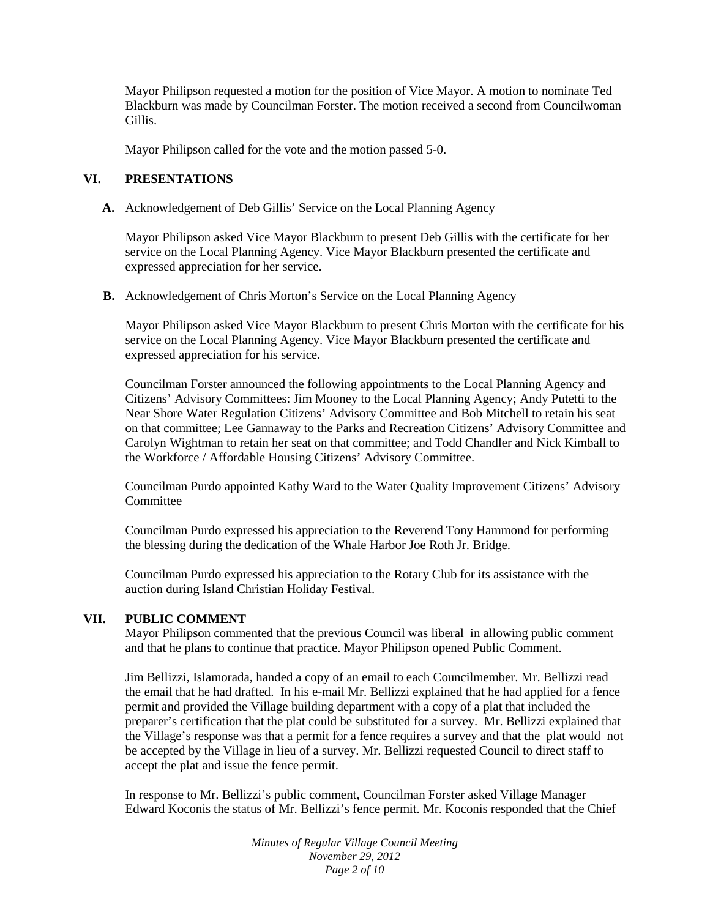Mayor Philipson requested a motion for the position of Vice Mayor. A motion to nominate Ted Blackburn was made by Councilman Forster. The motion received a second from Councilwoman Gillis.

Mayor Philipson called for the vote and the motion passed 5-0.

# **VI. PRESENTATIONS**

**A.** Acknowledgement of Deb Gillis' Service on the Local Planning Agency

Mayor Philipson asked Vice Mayor Blackburn to present Deb Gillis with the certificate for her service on the Local Planning Agency. Vice Mayor Blackburn presented the certificate and expressed appreciation for her service.

**B.** Acknowledgement of Chris Morton's Service on the Local Planning Agency

Mayor Philipson asked Vice Mayor Blackburn to present Chris Morton with the certificate for his service on the Local Planning Agency. Vice Mayor Blackburn presented the certificate and expressed appreciation for his service.

Councilman Forster announced the following appointments to the Local Planning Agency and Citizens' Advisory Committees: Jim Mooney to the Local Planning Agency; Andy Putetti to the Near Shore Water Regulation Citizens' Advisory Committee and Bob Mitchell to retain his seat on that committee; Lee Gannaway to the Parks and Recreation Citizens' Advisory Committee and Carolyn Wightman to retain her seat on that committee; and Todd Chandler and Nick Kimball to the Workforce / Affordable Housing Citizens' Advisory Committee.

Councilman Purdo appointed Kathy Ward to the Water Quality Improvement Citizens' Advisory **Committee** 

Councilman Purdo expressed his appreciation to the Reverend Tony Hammond for performing the blessing during the dedication of the Whale Harbor Joe Roth Jr. Bridge.

Councilman Purdo expressed his appreciation to the Rotary Club for its assistance with the auction during Island Christian Holiday Festival.

### **VII. PUBLIC COMMENT**

Mayor Philipson commented that the previous Council was liberal in allowing public comment and that he plans to continue that practice. Mayor Philipson opened Public Comment.

Jim Bellizzi, Islamorada, handed a copy of an email to each Councilmember. Mr. Bellizzi read the email that he had drafted. In his e-mail Mr. Bellizzi explained that he had applied for a fence permit and provided the Village building department with a copy of a plat that included the preparer's certification that the plat could be substituted for a survey. Mr. Bellizzi explained that the Village's response was that a permit for a fence requires a survey and that the plat would not be accepted by the Village in lieu of a survey. Mr. Bellizzi requested Council to direct staff to accept the plat and issue the fence permit.

In response to Mr. Bellizzi's public comment, Councilman Forster asked Village Manager Edward Koconis the status of Mr. Bellizzi's fence permit. Mr. Koconis responded that the Chief

> *Minutes of Regular Village Council Meeting November 29, 2012 Page 2 of 10*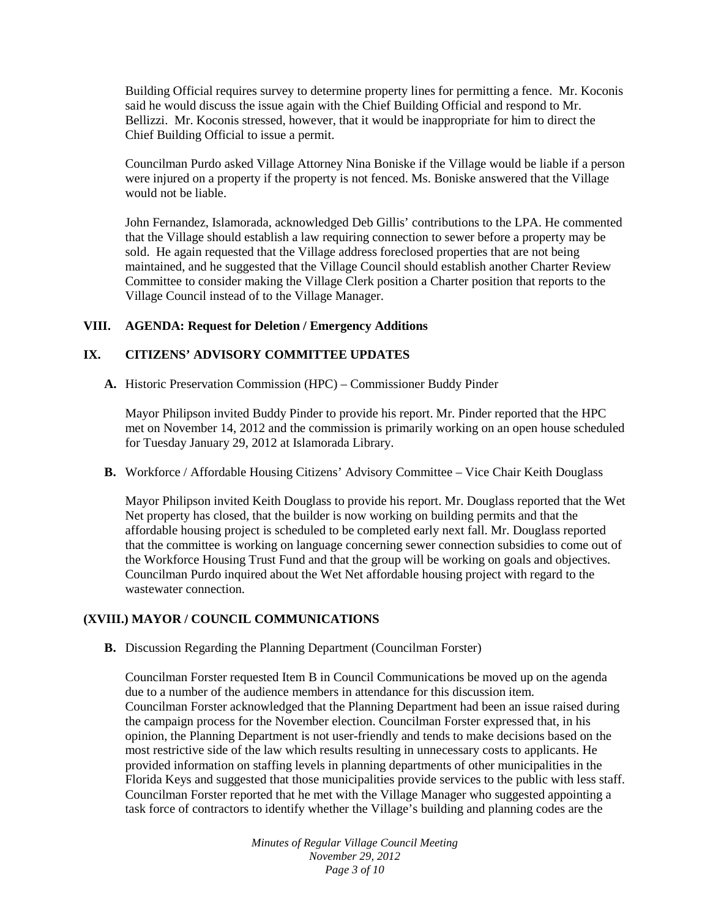Building Official requires survey to determine property lines for permitting a fence. Mr. Koconis said he would discuss the issue again with the Chief Building Official and respond to Mr. Bellizzi. Mr. Koconis stressed, however, that it would be inappropriate for him to direct the Chief Building Official to issue a permit.

Councilman Purdo asked Village Attorney Nina Boniske if the Village would be liable if a person were injured on a property if the property is not fenced. Ms. Boniske answered that the Village would not be liable.

John Fernandez, Islamorada, acknowledged Deb Gillis' contributions to the LPA. He commented that the Village should establish a law requiring connection to sewer before a property may be sold. He again requested that the Village address foreclosed properties that are not being maintained, and he suggested that the Village Council should establish another Charter Review Committee to consider making the Village Clerk position a Charter position that reports to the Village Council instead of to the Village Manager.

### **VIII. AGENDA: Request for Deletion / Emergency Additions**

# **IX. CITIZENS' ADVISORY COMMITTEE UPDATES**

**A.** Historic Preservation Commission (HPC) – Commissioner Buddy Pinder

Mayor Philipson invited Buddy Pinder to provide his report. Mr. Pinder reported that the HPC met on November 14, 2012 and the commission is primarily working on an open house scheduled for Tuesday January 29, 2012 at Islamorada Library.

**B.** Workforce / Affordable Housing Citizens' Advisory Committee – Vice Chair Keith Douglass

Mayor Philipson invited Keith Douglass to provide his report. Mr. Douglass reported that the Wet Net property has closed, that the builder is now working on building permits and that the affordable housing project is scheduled to be completed early next fall. Mr. Douglass reported that the committee is working on language concerning sewer connection subsidies to come out of the Workforce Housing Trust Fund and that the group will be working on goals and objectives. Councilman Purdo inquired about the Wet Net affordable housing project with regard to the wastewater connection.

# **(XVIII.) MAYOR / COUNCIL COMMUNICATIONS**

**B.** Discussion Regarding the Planning Department (Councilman Forster)

Councilman Forster requested Item B in Council Communications be moved up on the agenda due to a number of the audience members in attendance for this discussion item. Councilman Forster acknowledged that the Planning Department had been an issue raised during the campaign process for the November election. Councilman Forster expressed that, in his opinion, the Planning Department is not user-friendly and tends to make decisions based on the most restrictive side of the law which results resulting in unnecessary costs to applicants. He provided information on staffing levels in planning departments of other municipalities in the Florida Keys and suggested that those municipalities provide services to the public with less staff. Councilman Forster reported that he met with the Village Manager who suggested appointing a task force of contractors to identify whether the Village's building and planning codes are the

> *Minutes of Regular Village Council Meeting November 29, 2012 Page 3 of 10*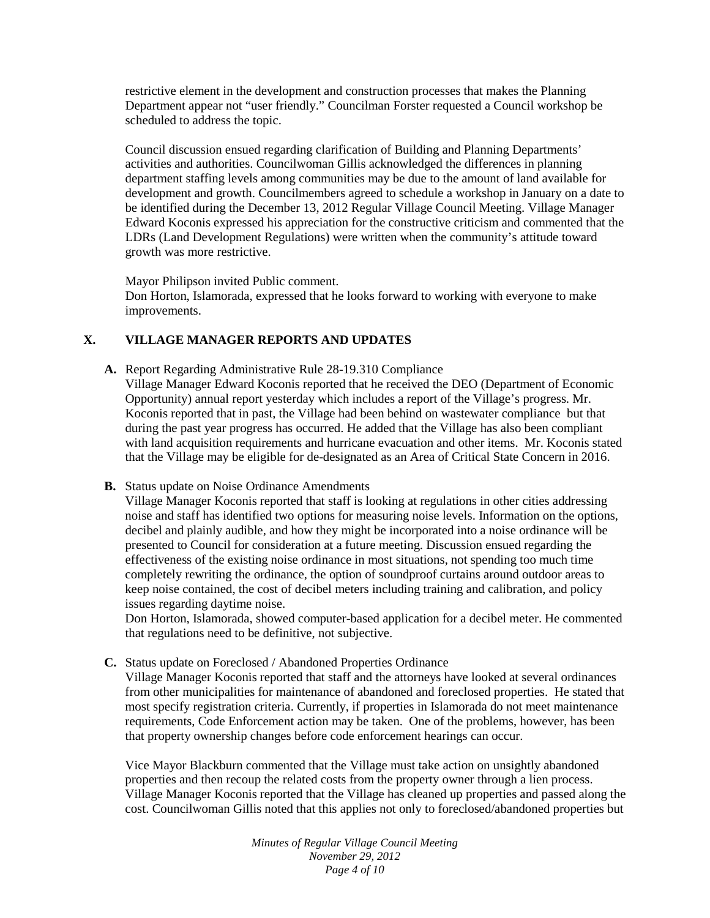restrictive element in the development and construction processes that makes the Planning Department appear not "user friendly." Councilman Forster requested a Council workshop be scheduled to address the topic.

Council discussion ensued regarding clarification of Building and Planning Departments' activities and authorities. Councilwoman Gillis acknowledged the differences in planning department staffing levels among communities may be due to the amount of land available for development and growth. Councilmembers agreed to schedule a workshop in January on a date to be identified during the December 13, 2012 Regular Village Council Meeting. Village Manager Edward Koconis expressed his appreciation for the constructive criticism and commented that the LDRs (Land Development Regulations) were written when the community's attitude toward growth was more restrictive.

Mayor Philipson invited Public comment.

Don Horton, Islamorada, expressed that he looks forward to working with everyone to make improvements.

# **X. VILLAGE MANAGER REPORTS AND UPDATES**

- **A.** Report Regarding Administrative Rule 28-19.310 Compliance Village Manager Edward Koconis reported that he received the DEO (Department of Economic Opportunity) annual report yesterday which includes a report of the Village's progress. Mr. Koconis reported that in past, the Village had been behind on wastewater compliance but that during the past year progress has occurred. He added that the Village has also been compliant with land acquisition requirements and hurricane evacuation and other items. Mr. Koconis stated that the Village may be eligible for de-designated as an Area of Critical State Concern in 2016.
- **B.** Status update on Noise Ordinance Amendments

Village Manager Koconis reported that staff is looking at regulations in other cities addressing noise and staff has identified two options for measuring noise levels. Information on the options, decibel and plainly audible, and how they might be incorporated into a noise ordinance will be presented to Council for consideration at a future meeting. Discussion ensued regarding the effectiveness of the existing noise ordinance in most situations, not spending too much time completely rewriting the ordinance, the option of soundproof curtains around outdoor areas to keep noise contained, the cost of decibel meters including training and calibration, and policy issues regarding daytime noise.

Don Horton, Islamorada, showed computer-based application for a decibel meter. He commented that regulations need to be definitive, not subjective.

**C.** Status update on Foreclosed / Abandoned Properties Ordinance

Village Manager Koconis reported that staff and the attorneys have looked at several ordinances from other municipalities for maintenance of abandoned and foreclosed properties. He stated that most specify registration criteria. Currently, if properties in Islamorada do not meet maintenance requirements, Code Enforcement action may be taken. One of the problems, however, has been that property ownership changes before code enforcement hearings can occur.

Vice Mayor Blackburn commented that the Village must take action on unsightly abandoned properties and then recoup the related costs from the property owner through a lien process. Village Manager Koconis reported that the Village has cleaned up properties and passed along the cost. Councilwoman Gillis noted that this applies not only to foreclosed/abandoned properties but

> *Minutes of Regular Village Council Meeting November 29, 2012 Page 4 of 10*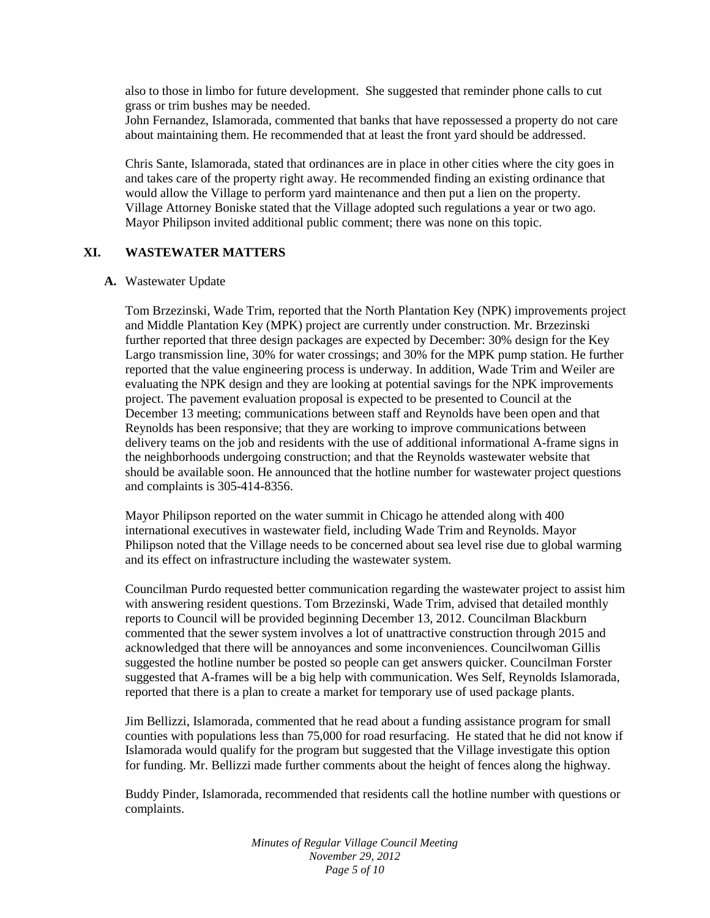also to those in limbo for future development. She suggested that reminder phone calls to cut grass or trim bushes may be needed.

John Fernandez, Islamorada, commented that banks that have repossessed a property do not care about maintaining them. He recommended that at least the front yard should be addressed.

Chris Sante, Islamorada, stated that ordinances are in place in other cities where the city goes in and takes care of the property right away. He recommended finding an existing ordinance that would allow the Village to perform yard maintenance and then put a lien on the property. Village Attorney Boniske stated that the Village adopted such regulations a year or two ago. Mayor Philipson invited additional public comment; there was none on this topic.

### **XI. WASTEWATER MATTERS**

#### **A.** Wastewater Update

Tom Brzezinski, Wade Trim, reported that the North Plantation Key (NPK) improvements project and Middle Plantation Key (MPK) project are currently under construction. Mr. Brzezinski further reported that three design packages are expected by December: 30% design for the Key Largo transmission line, 30% for water crossings; and 30% for the MPK pump station. He further reported that the value engineering process is underway. In addition, Wade Trim and Weiler are evaluating the NPK design and they are looking at potential savings for the NPK improvements project. The pavement evaluation proposal is expected to be presented to Council at the December 13 meeting; communications between staff and Reynolds have been open and that Reynolds has been responsive; that they are working to improve communications between delivery teams on the job and residents with the use of additional informational A-frame signs in the neighborhoods undergoing construction; and that the Reynolds wastewater website that should be available soon. He announced that the hotline number for wastewater project questions and complaints is 305-414-8356.

Mayor Philipson reported on the water summit in Chicago he attended along with 400 international executives in wastewater field, including Wade Trim and Reynolds. Mayor Philipson noted that the Village needs to be concerned about sea level rise due to global warming and its effect on infrastructure including the wastewater system.

Councilman Purdo requested better communication regarding the wastewater project to assist him with answering resident questions. Tom Brzezinski, Wade Trim, advised that detailed monthly reports to Council will be provided beginning December 13, 2012. Councilman Blackburn commented that the sewer system involves a lot of unattractive construction through 2015 and acknowledged that there will be annoyances and some inconveniences. Councilwoman Gillis suggested the hotline number be posted so people can get answers quicker. Councilman Forster suggested that A-frames will be a big help with communication. Wes Self, Reynolds Islamorada, reported that there is a plan to create a market for temporary use of used package plants.

Jim Bellizzi, Islamorada, commented that he read about a funding assistance program for small counties with populations less than 75,000 for road resurfacing. He stated that he did not know if Islamorada would qualify for the program but suggested that the Village investigate this option for funding. Mr. Bellizzi made further comments about the height of fences along the highway.

Buddy Pinder, Islamorada, recommended that residents call the hotline number with questions or complaints.

> *Minutes of Regular Village Council Meeting November 29, 2012 Page 5 of 10*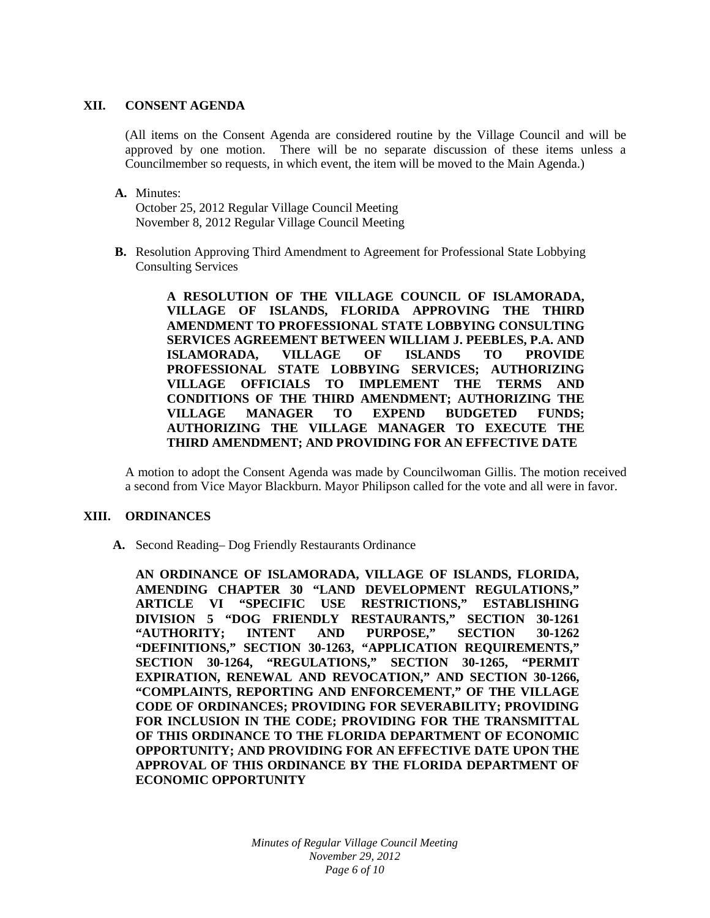### **XII. CONSENT AGENDA**

(All items on the Consent Agenda are considered routine by the Village Council and will be approved by one motion. There will be no separate discussion of these items unless a Councilmember so requests, in which event, the item will be moved to the Main Agenda.)

**A.** Minutes:

October 25, 2012 Regular Village Council Meeting November 8, 2012 Regular Village Council Meeting

**B.** Resolution Approving Third Amendment to Agreement for Professional State Lobbying Consulting Services

> **A RESOLUTION OF THE VILLAGE COUNCIL OF ISLAMORADA, VILLAGE OF ISLANDS, FLORIDA APPROVING THE THIRD AMENDMENT TO PROFESSIONAL STATE LOBBYING CONSULTING SERVICES AGREEMENT BETWEEN WILLIAM J. PEEBLES, P.A. AND ISLAMORADA, VILLAGE OF ISLANDS TO PROVIDE PROFESSIONAL STATE LOBBYING SERVICES; AUTHORIZING VILLAGE OFFICIALS TO IMPLEMENT THE TERMS AND CONDITIONS OF THE THIRD AMENDMENT; AUTHORIZING THE VILLAGE MANAGER TO EXPEND BUDGETED FUNDS; AUTHORIZING THE VILLAGE MANAGER TO EXECUTE THE THIRD AMENDMENT; AND PROVIDING FOR AN EFFECTIVE DATE**

A motion to adopt the Consent Agenda was made by Councilwoman Gillis. The motion received a second from Vice Mayor Blackburn. Mayor Philipson called for the vote and all were in favor.

# **XIII. ORDINANCES**

**A.** Second Reading– Dog Friendly Restaurants Ordinance

**AN ORDINANCE OF ISLAMORADA, VILLAGE OF ISLANDS, FLORIDA, AMENDING CHAPTER 30 "LAND DEVELOPMENT REGULATIONS," ARTICLE VI "SPECIFIC USE RESTRICTIONS," ESTABLISHING DIVISION 5 "DOG FRIENDLY RESTAURANTS," SECTION 30-1261 "AUTHORITY; INTENT AND PURPOSE," SECTION 30-1262 "DEFINITIONS," SECTION 30-1263, "APPLICATION REQUIREMENTS," SECTION 30-1264, "REGULATIONS," SECTION 30-1265, "PERMIT EXPIRATION, RENEWAL AND REVOCATION," AND SECTION 30-1266, "COMPLAINTS, REPORTING AND ENFORCEMENT," OF THE VILLAGE CODE OF ORDINANCES; PROVIDING FOR SEVERABILITY; PROVIDING FOR INCLUSION IN THE CODE; PROVIDING FOR THE TRANSMITTAL OF THIS ORDINANCE TO THE FLORIDA DEPARTMENT OF ECONOMIC OPPORTUNITY; AND PROVIDING FOR AN EFFECTIVE DATE UPON THE APPROVAL OF THIS ORDINANCE BY THE FLORIDA DEPARTMENT OF ECONOMIC OPPORTUNITY**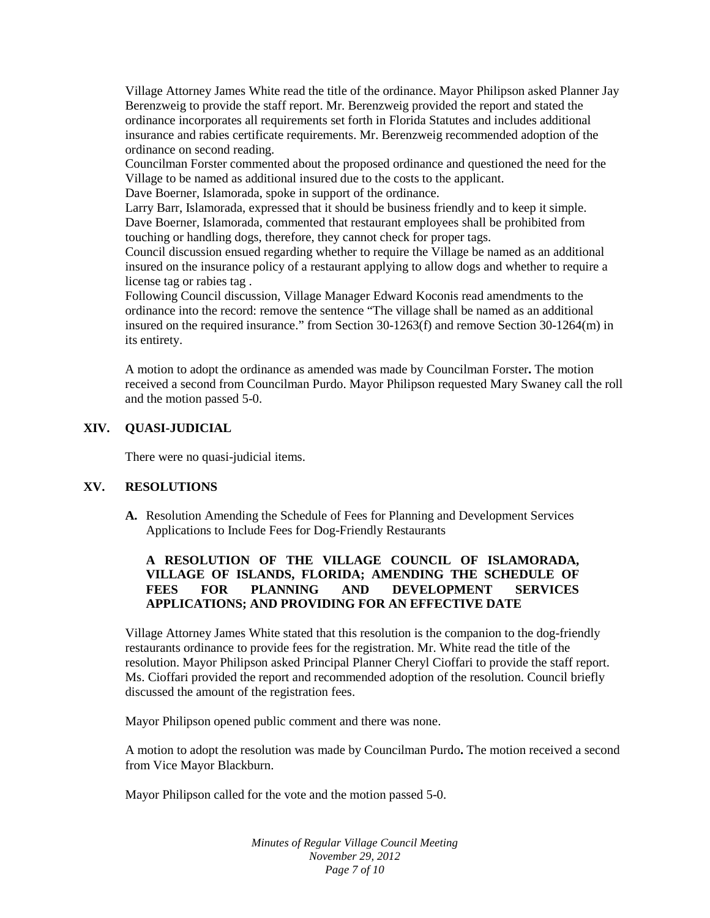Village Attorney James White read the title of the ordinance. Mayor Philipson asked Planner Jay Berenzweig to provide the staff report. Mr. Berenzweig provided the report and stated the ordinance incorporates all requirements set forth in Florida Statutes and includes additional insurance and rabies certificate requirements. Mr. Berenzweig recommended adoption of the ordinance on second reading.

Councilman Forster commented about the proposed ordinance and questioned the need for the Village to be named as additional insured due to the costs to the applicant.

Dave Boerner, Islamorada, spoke in support of the ordinance.

Larry Barr, Islamorada, expressed that it should be business friendly and to keep it simple. Dave Boerner, Islamorada, commented that restaurant employees shall be prohibited from touching or handling dogs, therefore, they cannot check for proper tags.

Council discussion ensued regarding whether to require the Village be named as an additional insured on the insurance policy of a restaurant applying to allow dogs and whether to require a license tag or rabies tag .

Following Council discussion, Village Manager Edward Koconis read amendments to the ordinance into the record: remove the sentence "The village shall be named as an additional insured on the required insurance." from Section 30-1263(f) and remove Section 30-1264(m) in its entirety.

A motion to adopt the ordinance as amended was made by Councilman Forster**.** The motion received a second from Councilman Purdo. Mayor Philipson requested Mary Swaney call the roll and the motion passed 5-0.

# **XIV. QUASI-JUDICIAL**

There were no quasi-judicial items.

### **XV. RESOLUTIONS**

**A.** Resolution Amending the Schedule of Fees for Planning and Development Services Applications to Include Fees for Dog-Friendly Restaurants

# **A RESOLUTION OF THE VILLAGE COUNCIL OF ISLAMORADA, VILLAGE OF ISLANDS, FLORIDA; AMENDING THE SCHEDULE OF FEES FOR PLANNING AND DEVELOPMENT SERVICES APPLICATIONS; AND PROVIDING FOR AN EFFECTIVE DATE**

Village Attorney James White stated that this resolution is the companion to the dog-friendly restaurants ordinance to provide fees for the registration. Mr. White read the title of the resolution. Mayor Philipson asked Principal Planner Cheryl Cioffari to provide the staff report. Ms. Cioffari provided the report and recommended adoption of the resolution. Council briefly discussed the amount of the registration fees.

Mayor Philipson opened public comment and there was none.

A motion to adopt the resolution was made by Councilman Purdo**.** The motion received a second from Vice Mayor Blackburn.

Mayor Philipson called for the vote and the motion passed 5-0.

*Minutes of Regular Village Council Meeting November 29, 2012 Page 7 of 10*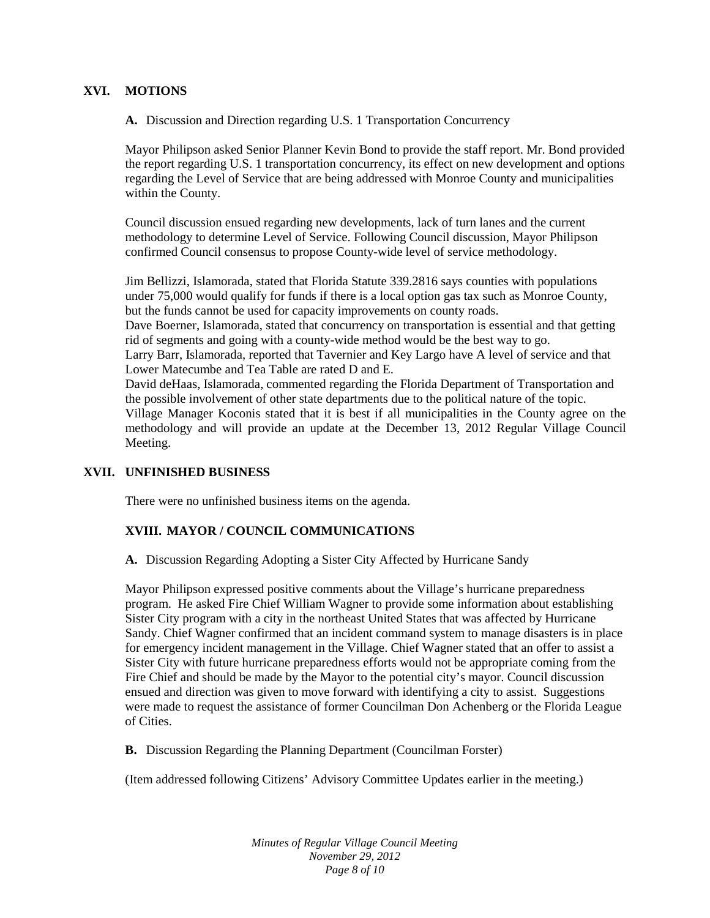### **XVI. MOTIONS**

**A.** Discussion and Direction regarding U.S. 1 Transportation Concurrency

Mayor Philipson asked Senior Planner Kevin Bond to provide the staff report. Mr. Bond provided the report regarding U.S. 1 transportation concurrency, its effect on new development and options regarding the Level of Service that are being addressed with Monroe County and municipalities within the County.

Council discussion ensued regarding new developments, lack of turn lanes and the current methodology to determine Level of Service. Following Council discussion, Mayor Philipson confirmed Council consensus to propose County-wide level of service methodology.

Jim Bellizzi, Islamorada, stated that Florida Statute 339.2816 says counties with populations under 75,000 would qualify for funds if there is a local option gas tax such as Monroe County, but the funds cannot be used for capacity improvements on county roads. Dave Boerner, Islamorada, stated that concurrency on transportation is essential and that getting rid of segments and going with a county-wide method would be the best way to go. Larry Barr, Islamorada, reported that Tavernier and Key Largo have A level of service and that Lower Matecumbe and Tea Table are rated D and E. David deHaas, Islamorada, commented regarding the Florida Department of Transportation and the possible involvement of other state departments due to the political nature of the topic. Village Manager Koconis stated that it is best if all municipalities in the County agree on the methodology and will provide an update at the December 13, 2012 Regular Village Council Meeting.

# **XVII. UNFINISHED BUSINESS**

There were no unfinished business items on the agenda.

### **XVIII. MAYOR / COUNCIL COMMUNICATIONS**

**A.** Discussion Regarding Adopting a Sister City Affected by Hurricane Sandy

Mayor Philipson expressed positive comments about the Village's hurricane preparedness program. He asked Fire Chief William Wagner to provide some information about establishing Sister City program with a city in the northeast United States that was affected by Hurricane Sandy. Chief Wagner confirmed that an incident command system to manage disasters is in place for emergency incident management in the Village. Chief Wagner stated that an offer to assist a Sister City with future hurricane preparedness efforts would not be appropriate coming from the Fire Chief and should be made by the Mayor to the potential city's mayor. Council discussion ensued and direction was given to move forward with identifying a city to assist. Suggestions were made to request the assistance of former Councilman Don Achenberg or the Florida League of Cities.

**B.** Discussion Regarding the Planning Department (Councilman Forster)

(Item addressed following Citizens' Advisory Committee Updates earlier in the meeting.)

*Minutes of Regular Village Council Meeting November 29, 2012 Page 8 of 10*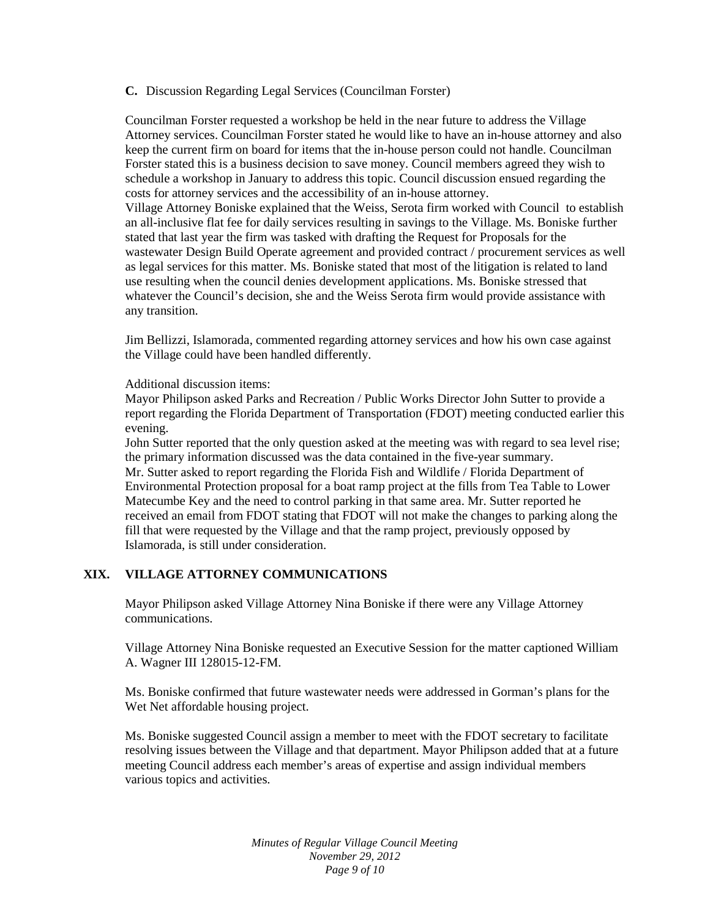### **C.** Discussion Regarding Legal Services (Councilman Forster)

Councilman Forster requested a workshop be held in the near future to address the Village Attorney services. Councilman Forster stated he would like to have an in-house attorney and also keep the current firm on board for items that the in-house person could not handle. Councilman Forster stated this is a business decision to save money. Council members agreed they wish to schedule a workshop in January to address this topic. Council discussion ensued regarding the costs for attorney services and the accessibility of an in-house attorney. Village Attorney Boniske explained that the Weiss, Serota firm worked with Council to establish an all-inclusive flat fee for daily services resulting in savings to the Village. Ms. Boniske further stated that last year the firm was tasked with drafting the Request for Proposals for the wastewater Design Build Operate agreement and provided contract / procurement services as well

as legal services for this matter. Ms. Boniske stated that most of the litigation is related to land use resulting when the council denies development applications. Ms. Boniske stressed that whatever the Council's decision, she and the Weiss Serota firm would provide assistance with any transition.

Jim Bellizzi, Islamorada, commented regarding attorney services and how his own case against the Village could have been handled differently.

Additional discussion items:

Mayor Philipson asked Parks and Recreation / Public Works Director John Sutter to provide a report regarding the Florida Department of Transportation (FDOT) meeting conducted earlier this evening.

John Sutter reported that the only question asked at the meeting was with regard to sea level rise; the primary information discussed was the data contained in the five-year summary. Mr. Sutter asked to report regarding the Florida Fish and Wildlife / Florida Department of Environmental Protection proposal for a boat ramp project at the fills from Tea Table to Lower Matecumbe Key and the need to control parking in that same area. Mr. Sutter reported he received an email from FDOT stating that FDOT will not make the changes to parking along the fill that were requested by the Village and that the ramp project, previously opposed by Islamorada, is still under consideration.

### **XIX. VILLAGE ATTORNEY COMMUNICATIONS**

Mayor Philipson asked Village Attorney Nina Boniske if there were any Village Attorney communications.

Village Attorney Nina Boniske requested an Executive Session for the matter captioned William A. Wagner III 128015-12-FM.

Ms. Boniske confirmed that future wastewater needs were addressed in Gorman's plans for the Wet Net affordable housing project.

Ms. Boniske suggested Council assign a member to meet with the FDOT secretary to facilitate resolving issues between the Village and that department. Mayor Philipson added that at a future meeting Council address each member's areas of expertise and assign individual members various topics and activities.

> *Minutes of Regular Village Council Meeting November 29, 2012 Page 9 of 10*